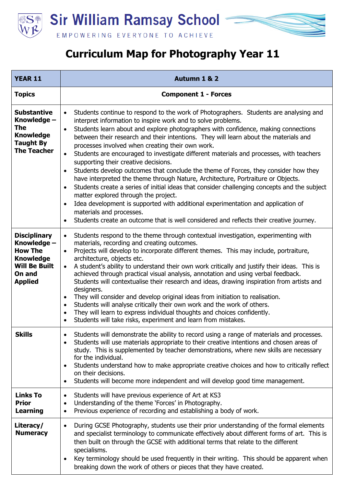

## **Curriculum Map for Photography Year 11**

| <b>YEAR 11</b>                                                                                                               | Autumn 1 & 2                                                                                                                                                                                                                                                                                                                                                                                                                                                                                                                                                                                                                                                                                                                                                                                                                                                                                                                                                                                                                                                                                                                           |
|------------------------------------------------------------------------------------------------------------------------------|----------------------------------------------------------------------------------------------------------------------------------------------------------------------------------------------------------------------------------------------------------------------------------------------------------------------------------------------------------------------------------------------------------------------------------------------------------------------------------------------------------------------------------------------------------------------------------------------------------------------------------------------------------------------------------------------------------------------------------------------------------------------------------------------------------------------------------------------------------------------------------------------------------------------------------------------------------------------------------------------------------------------------------------------------------------------------------------------------------------------------------------|
| <b>Topics</b>                                                                                                                | <b>Component 1 - Forces</b>                                                                                                                                                                                                                                                                                                                                                                                                                                                                                                                                                                                                                                                                                                                                                                                                                                                                                                                                                                                                                                                                                                            |
| <b>Substantive</b><br>Knowledge -<br>The<br><b>Knowledge</b><br><b>Taught By</b><br><b>The Teacher</b>                       | Students continue to respond to the work of Photographers. Students are analysing and<br>$\bullet$<br>interpret information to inspire work and to solve problems.<br>Students learn about and explore photographers with confidence, making connections<br>$\bullet$<br>between their research and their intentions. They will learn about the materials and<br>processes involved when creating their own work.<br>Students are encouraged to investigate different materials and processes, with teachers<br>$\bullet$<br>supporting their creative decisions.<br>Students develop outcomes that conclude the theme of Forces, they consider how they<br>have interpreted the theme through Nature, Architecture, Portraiture or Objects.<br>Students create a series of initial ideas that consider challenging concepts and the subject<br>$\bullet$<br>matter explored through the project.<br>Idea development is supported with additional experimentation and application of<br>$\bullet$<br>materials and processes.<br>Students create an outcome that is well considered and reflects their creative journey.<br>$\bullet$ |
| <b>Disciplinary</b><br>Knowledge -<br><b>How The</b><br><b>Knowledge</b><br><b>Will Be Built</b><br>On and<br><b>Applied</b> | Students respond to the theme through contextual investigation, experimenting with<br>$\bullet$<br>materials, recording and creating outcomes.<br>Projects will develop to incorporate different themes. This may include, portraiture,<br>$\bullet$<br>architecture, objects etc.<br>A student's ability to understand their own work critically and justify their ideas. This is<br>$\bullet$<br>achieved through practical visual analysis, annotation and using verbal feedback.<br>Students will contextualise their research and ideas, drawing inspiration from artists and<br>designers.<br>They will consider and develop original ideas from initiation to realisation.<br>$\bullet$<br>Students will analyse critically their own work and the work of others.<br>$\bullet$<br>They will learn to express individual thoughts and choices confidently.<br>$\bullet$<br>Students will take risks, experiment and learn from mistakes.<br>$\bullet$                                                                                                                                                                           |
| <b>Skills</b>                                                                                                                | Students will demonstrate the ability to record using a range of materials and processes.<br>$\bullet$<br>Students will use materials appropriate to their creative intentions and chosen areas of<br>$\bullet$<br>study. This is supplemented by teacher demonstrations, where new skills are necessary<br>for the individual.<br>Students understand how to make appropriate creative choices and how to critically reflect<br>$\bullet$<br>on their decisions.<br>Students will become more independent and will develop good time management.<br>$\bullet$                                                                                                                                                                                                                                                                                                                                                                                                                                                                                                                                                                         |
| <b>Links To</b><br><b>Prior</b><br><b>Learning</b>                                                                           | Students will have previous experience of Art at KS3<br>$\bullet$<br>Understanding of the theme 'Forces' in Photography.<br>$\bullet$<br>Previous experience of recording and establishing a body of work.<br>$\bullet$                                                                                                                                                                                                                                                                                                                                                                                                                                                                                                                                                                                                                                                                                                                                                                                                                                                                                                                |
| Literacy/<br><b>Numeracy</b>                                                                                                 | During GCSE Photography, students use their prior understanding of the formal elements<br>$\bullet$<br>and specialist terminology to communicate effectively about different forms of art. This is<br>then built on through the GCSE with additional terms that relate to the different<br>specialisms.<br>Key terminology should be used frequently in their writing. This should be apparent when<br>$\bullet$<br>breaking down the work of others or pieces that they have created.                                                                                                                                                                                                                                                                                                                                                                                                                                                                                                                                                                                                                                                 |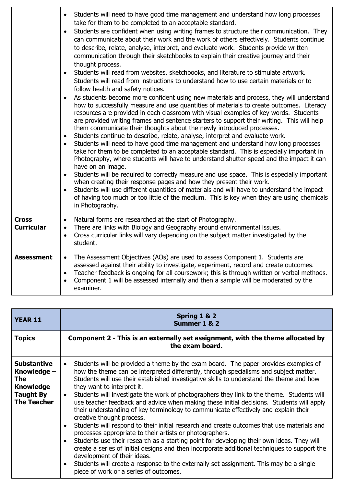|                                   | Students will need to have good time management and understand how long processes<br>$\bullet$<br>take for them to be completed to an acceptable standard.<br>Students are confident when using writing frames to structure their communication. They<br>$\bullet$<br>can communicate about their work and the work of others effectively. Students continue<br>to describe, relate, analyse, interpret, and evaluate work. Students provide written<br>communication through their sketchbooks to explain their creative journey and their<br>thought process.<br>Students will read from websites, sketchbooks, and literature to stimulate artwork.<br>$\bullet$<br>Students will read from instructions to understand how to use certain materials or to<br>follow health and safety notices.<br>As students become more confident using new materials and process, they will understand<br>$\bullet$<br>how to successfully measure and use quantities of materials to create outcomes. Literacy<br>resources are provided in each classroom with visual examples of key words. Students<br>are provided writing frames and sentence starters to support their writing. This will help<br>them communicate their thoughts about the newly introduced processes.<br>Students continue to describe, relate, analyse, interpret and evaluate work.<br>$\bullet$<br>Students will need to have good time management and understand how long processes<br>$\bullet$<br>take for them to be completed to an acceptable standard. This is especially important in<br>Photography, where students will have to understand shutter speed and the impact it can<br>have on an image.<br>Students will be required to correctly measure and use space. This is especially important<br>$\bullet$<br>when creating their response pages and how they present their work.<br>Students will use different quantities of materials and will have to understand the impact<br>$\bullet$<br>of having too much or too little of the medium. This is key when they are using chemicals<br>in Photography. |
|-----------------------------------|----------------------------------------------------------------------------------------------------------------------------------------------------------------------------------------------------------------------------------------------------------------------------------------------------------------------------------------------------------------------------------------------------------------------------------------------------------------------------------------------------------------------------------------------------------------------------------------------------------------------------------------------------------------------------------------------------------------------------------------------------------------------------------------------------------------------------------------------------------------------------------------------------------------------------------------------------------------------------------------------------------------------------------------------------------------------------------------------------------------------------------------------------------------------------------------------------------------------------------------------------------------------------------------------------------------------------------------------------------------------------------------------------------------------------------------------------------------------------------------------------------------------------------------------------------------------------------------------------------------------------------------------------------------------------------------------------------------------------------------------------------------------------------------------------------------------------------------------------------------------------------------------------------------------------------------------------------------------------------------------------------------------------------------------------------------------------------------------|
| <b>Cross</b><br><b>Curricular</b> | Natural forms are researched at the start of Photography.<br>$\bullet$<br>There are links with Biology and Geography around environmental issues.<br>$\bullet$<br>Cross curricular links will vary depending on the subject matter investigated by the<br>$\bullet$<br>student.                                                                                                                                                                                                                                                                                                                                                                                                                                                                                                                                                                                                                                                                                                                                                                                                                                                                                                                                                                                                                                                                                                                                                                                                                                                                                                                                                                                                                                                                                                                                                                                                                                                                                                                                                                                                              |
| <b>Assessment</b>                 | The Assessment Objectives (AOs) are used to assess Component 1. Students are<br>$\bullet$<br>assessed against their ability to investigate, experiment, record and create outcomes.<br>Teacher feedback is ongoing for all coursework; this is through written or verbal methods.<br>$\bullet$<br>Component 1 will be assessed internally and then a sample will be moderated by the<br>$\bullet$<br>examiner.                                                                                                                                                                                                                                                                                                                                                                                                                                                                                                                                                                                                                                                                                                                                                                                                                                                                                                                                                                                                                                                                                                                                                                                                                                                                                                                                                                                                                                                                                                                                                                                                                                                                               |

| <b>YEAR 11</b>                                                                                         | Spring 1 & 2<br>Summer 1 & 2                                                                                                                                                                                                                                                                                                                                                                                                                                                                                                                                                                                                                                                                                                                                                                                                                                                                                                                                                                                                                                                                                                                               |
|--------------------------------------------------------------------------------------------------------|------------------------------------------------------------------------------------------------------------------------------------------------------------------------------------------------------------------------------------------------------------------------------------------------------------------------------------------------------------------------------------------------------------------------------------------------------------------------------------------------------------------------------------------------------------------------------------------------------------------------------------------------------------------------------------------------------------------------------------------------------------------------------------------------------------------------------------------------------------------------------------------------------------------------------------------------------------------------------------------------------------------------------------------------------------------------------------------------------------------------------------------------------------|
| <b>Topics</b>                                                                                          | Component 2 - This is an externally set assignment, with the theme allocated by<br>the exam board.                                                                                                                                                                                                                                                                                                                                                                                                                                                                                                                                                                                                                                                                                                                                                                                                                                                                                                                                                                                                                                                         |
| <b>Substantive</b><br>Knowledge -<br>The<br><b>Knowledge</b><br><b>Taught By</b><br><b>The Teacher</b> | Students will be provided a theme by the exam board. The paper provides examples of<br>how the theme can be interpreted differently, through specialisms and subject matter.<br>Students will use their established investigative skills to understand the theme and how<br>they want to interpret it.<br>Students will investigate the work of photographers they link to the theme. Students will<br>$\bullet$<br>use teacher feedback and advice when making these initial decisions. Students will apply<br>their understanding of key terminology to communicate effectively and explain their<br>creative thought process.<br>Students will respond to their initial research and create outcomes that use materials and<br>processes appropriate to their artists or photographers.<br>Students use their research as a starting point for developing their own ideas. They will<br>create a series of initial designs and then incorporate additional techniques to support the<br>development of their ideas.<br>Students will create a response to the externally set assignment. This may be a single<br>piece of work or a series of outcomes. |